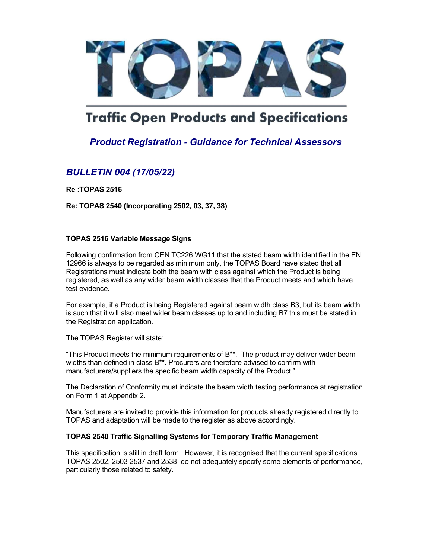

# **Traffic Open Products and Specifications**

## Product Registration - Guidance for Technical Assessors

### BULLETIN 004 (17/05/22)

Re :TOPAS 2516

Re: TOPAS 2540 (Incorporating 2502, 03, 37, 38)

#### TOPAS 2516 Variable Message Signs

Following confirmation from CEN TC226 WG11 that the stated beam width identified in the EN 12966 is always to be regarded as minimum only, the TOPAS Board have stated that all Registrations must indicate both the beam with class against which the Product is being registered, as well as any wider beam width classes that the Product meets and which have test evidence.

For example, if a Product is being Registered against beam width class B3, but its beam width is such that it will also meet wider beam classes up to and including B7 this must be stated in the Registration application.

The TOPAS Register will state:

"This Product meets the minimum requirements of  $B^{**}$ . The product may deliver wider beam widths than defined in class B\*\*. Procurers are therefore advised to confirm with manufacturers/suppliers the specific beam width capacity of the Product."

The Declaration of Conformity must indicate the beam width testing performance at registration on Form 1 at Appendix 2.

Manufacturers are invited to provide this information for products already registered directly to TOPAS and adaptation will be made to the register as above accordingly.

#### TOPAS 2540 Traffic Signalling Systems for Temporary Traffic Management

This specification is still in draft form. However, it is recognised that the current specifications TOPAS 2502, 2503 2537 and 2538, do not adequately specify some elements of performance, particularly those related to safety.